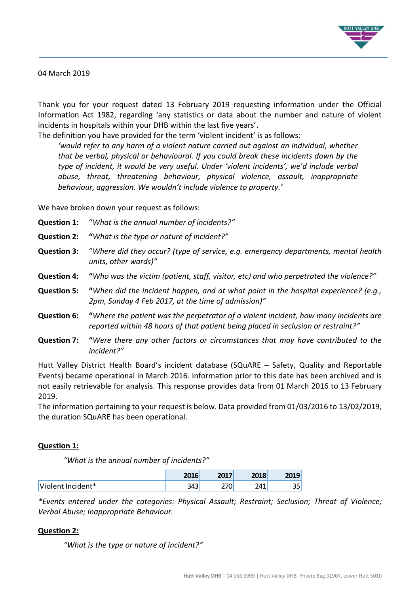

#### 04 March 2019

Thank you for your request dated 13 February 2019 requesting information under the Official Information Act 1982, regarding 'any statistics or data about the number and nature of violent incidents in hospitals within your DHB within the last five years'.

The definition you have provided for the term 'violent incident' is as follows: *'would refer to any harm of a violent nature carried out against an individual, whether that be verbal, physical or behavioural. If you could break these incidents down by the type of incident, it would be very useful. Under 'violent incidents', we'd include verbal abuse, threat, threatening behaviour, physical violence, assault, inappropriate behaviour, aggression. We wouldn't include violence to property.'*

We have broken down your request as follows:

- **Question 1:** "*What is the annual number of incidents?"*
- **Question 2: "***What is the type or nature of incident?"*
- **Question 3:** "*Where did they occur? (type of service, e.g. emergency departments, mental health units, other wards)"*
- **Question 4: "***Who was the victim (patient, staff, visitor, etc) and who perpetrated the violence?"*
- **Question 5: "***When did the incident happen, and at what point in the hospital experience? (e.g., 2pm, Sunday 4 Feb 2017, at the time of admission)"*
- **Question 6: "***Where the patient was the perpetrator of a violent incident, how many incidents are reported within 48 hours of that patient being placed in seclusion or restraint?"*
- **Question 7: "***Were there any other factors or circumstances that may have contributed to the incident?"*

Hutt Valley District Health Board's incident database (SQuARE – Safety, Quality and Reportable Events) became operational in March 2016. Information prior to this date has been archived and is not easily retrievable for analysis. This response provides data from 01 March 2016 to 13 February 2019.

The information pertaining to your request is below. Data provided from 01/03/2016 to 13/02/2019, the duration SQuARE has been operational.

#### **Question 1:**

*"What is the* a*nnual number of incidents?"*

|                   | 204C<br>סבט∠            | 2017 | 2010<br>2018 | ZUIJ       |
|-------------------|-------------------------|------|--------------|------------|
| Violent Incident* | כו כ<br>⊣<br><b>245</b> | υ    | 241          | nr.<br>ں ب |

*\*Events entered under the categories: Physical Assault; Restraint; Seclusion; Threat of Violence; Verbal Abuse; Inappropriate Behaviour.*

### **Question 2:**

*"What is the type or nature of incident?"*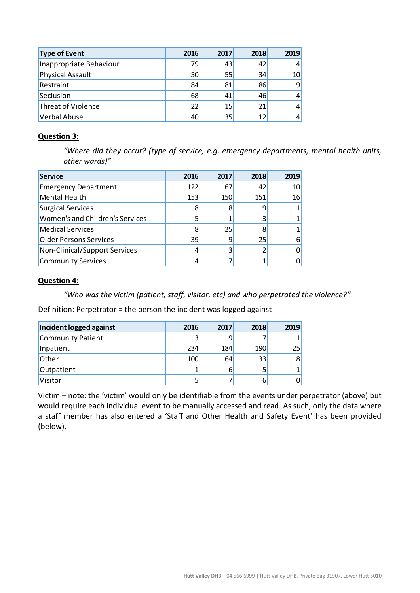| <b>Type of Event</b>    | 2016 | 2017 | 2018 | 2019 |
|-------------------------|------|------|------|------|
| Inappropriate Behaviour | 79   | 43   | 42   | 41   |
| <b>Physical Assault</b> | 50   | 55   | 34   | 10   |
| Restraint               | 84   | 81   | 86   | 9    |
| Seclusion               | 68   | 41   | 46   | 41   |
| Threat of Violence      | 22   | 15   | 21   | 41   |
| Verbal Abuse            | 40   | 35   | 12   | 41   |

### **Question 3:**

*"Where did they occur? (type of service, e.g. emergency departments, mental health units, other wards)"*

| <b>Service</b>                  | 2016 | 2017 | 2018 | 2019 |
|---------------------------------|------|------|------|------|
| <b>Emergency Department</b>     | 122  | 67   | 42   | 10   |
| Mental Health                   | 153  | 150  | 151  | 16   |
| <b>Surgical Services</b>        | 8    | 8    |      |      |
| Women's and Children's Services |      |      |      |      |
| <b>Medical Services</b>         |      | 25   |      |      |
| <b>Older Persons Services</b>   | 39   | 9    | 25   |      |
| Non-Clinical/Support Services   |      | 3    |      |      |
| <b>Community Services</b>       |      |      |      |      |

### **Question 4:**

*"Who was the victim (patient, staff, visitor, etc) and who perpetrated the violence?"*

Definition: Perpetrator = the person the incident was logged against

| Incident logged against | 2016 | 2017 | 2018 | 2019 |
|-------------------------|------|------|------|------|
| Community Patient       |      |      |      |      |
| Inpatient               | 234  | 184  | 190  | 25   |
| Other                   | 100  | 64   | 33   | 8    |
| Outpatient              |      | 6    |      |      |
| Visitor                 |      |      | b    |      |

Victim – note: the 'victim' would only be identifiable from the events under perpetrator (above) but would require each individual event to be manually accessed and read. As such, only the data where a staff member has also entered a 'Staff and Other Health and Safety Event' has been provided (below).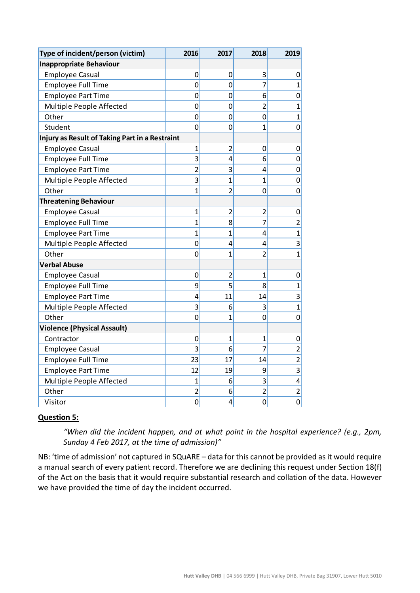| Type of incident/person (victim)               | 2016           | 2017           | 2018           | 2019           |
|------------------------------------------------|----------------|----------------|----------------|----------------|
| <b>Inappropriate Behaviour</b>                 |                |                |                |                |
| <b>Employee Casual</b>                         | $\mathbf 0$    | 0              | 3              | 0              |
| <b>Employee Full Time</b>                      | 0              | 0              | $\overline{7}$ | $\overline{1}$ |
| <b>Employee Part Time</b>                      | $\mathbf 0$    | 0              | 6              | 0              |
| Multiple People Affected                       | $\mathbf 0$    | 0              | $\overline{2}$ | 1              |
| Other                                          | $\mathbf 0$    | $\overline{0}$ | 0              | $\overline{1}$ |
| Student                                        | $\overline{0}$ | 0              | $\overline{1}$ | 0              |
| Injury as Result of Taking Part in a Restraint |                |                |                |                |
| <b>Employee Casual</b>                         | $\mathbf{1}$   | $\overline{2}$ | 0              | 0              |
| <b>Employee Full Time</b>                      | 3              | 4              | 6              | 0              |
| <b>Employee Part Time</b>                      | $\overline{2}$ | 3              | 4              | 0              |
| Multiple People Affected                       | 3              | $\overline{1}$ | 1              | 0              |
| Other                                          | $\overline{1}$ | $\overline{2}$ | 0              | 0              |
| <b>Threatening Behaviour</b>                   |                |                |                |                |
| <b>Employee Casual</b>                         | $\mathbf{1}$   | $\overline{2}$ | $\overline{c}$ | 0              |
| <b>Employee Full Time</b>                      | $\overline{1}$ | 8              | $\overline{7}$ | $\overline{2}$ |
| <b>Employee Part Time</b>                      | 1              | 1              | 4              | $\overline{1}$ |
| Multiple People Affected                       | 0              | 4              | 4              | 3              |
| Other                                          | 0              | 1              | $\overline{2}$ | $\overline{1}$ |
| <b>Verbal Abuse</b>                            |                |                |                |                |
| <b>Employee Casual</b>                         | 0              | 2              | 1              | 0              |
| <b>Employee Full Time</b>                      | 9              | 5              | 8              | $\overline{1}$ |
| <b>Employee Part Time</b>                      | 4              | 11             | 14             | 3              |
| Multiple People Affected                       | 3              | 6              | 3              | 1              |
| Other                                          | $\mathbf 0$    | 1              | 0              | 0              |
| <b>Violence (Physical Assault)</b>             |                |                |                |                |
| Contractor                                     | 0              | $\mathbf{1}$   | $\overline{1}$ | 0              |
| <b>Employee Casual</b>                         | 3              | 6              | $\overline{7}$ | $\overline{2}$ |
| <b>Employee Full Time</b>                      | 23             | 17             | 14             | $\overline{2}$ |
| <b>Employee Part Time</b>                      | 12             | 19             | 9              | 3              |
| Multiple People Affected                       | $\overline{1}$ | 6              | 3              | 4              |
| Other                                          | $\overline{2}$ | 6              | $\overline{2}$ | $\overline{2}$ |
| Visitor                                        | $\mathbf 0$    | 4              | 0              | $\mathbf 0$    |

# **Question 5:**

*"When did the incident happen, and at what point in the hospital experience? (e.g., 2pm, Sunday 4 Feb 2017, at the time of admission)"*

NB: 'time of admission' not captured in SQuARE – data for this cannot be provided as it would require a manual search of every patient record. Therefore we are declining this request under Section 18(f) of the Act on the basis that it would require substantial research and collation of the data. However we have provided the time of day the incident occurred.